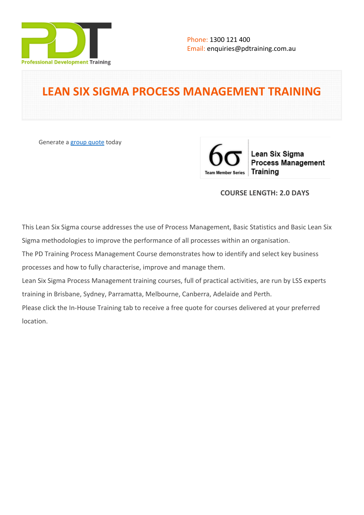

# **LEAN SIX SIGMA PROCESS MANAGEMENT TRAINING**

Generate a [group quote](https://pdtraining.com.au/inhouse-training-quote?cse=PDT0169) today

Lean Six Sigma **Process Management** Training **Team Member Series** 

## **COURSE LENGTH: 2.0 DAYS**

This Lean Six Sigma course addresses the use of Process Management, Basic Statistics and Basic Lean Six Sigma methodologies to improve the performance of all processes within an organisation.

The PD Training Process Management Course demonstrates how to identify and select key business processes and how to fully characterise, improve and manage them.

Lean Six Sigma Process Management training courses, full of practical activities, are run by LSS experts training in Brisbane, Sydney, Parramatta, Melbourne, Canberra, Adelaide and Perth.

Please click the In-House Training tab to receive a free quote for courses delivered at your preferred location.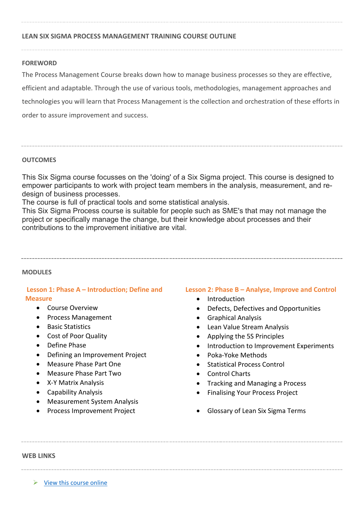#### **FOREWORD**

The Process Management Course breaks down how to manage business processes so they are effective, efficient and adaptable. Through the use of various tools, methodologies, management approaches and technologies you will learn that Process Management is the collection and orchestration of these efforts in order to assure improvement and success.

#### **OUTCOMES**

This Six Sigma course focusses on the 'doing' of a Six Sigma project. This course is designed to empower participants to work with project team members in the analysis, measurement, and redesign of business processes.

The course is full of practical tools and some statistical analysis.

This Six Sigma Process course is suitable for people such as SME's that may not manage the project or specifically manage the change, but their knowledge about processes and their contributions to the improvement initiative are vital.

#### **MODULES**

### **Lesson 1: Phase A – Introduction; Define and Measure**

- Course Overview
- Process Management
- Basic Statistics
- Cost of Poor Quality
- Define Phase
- Defining an Improvement Project
- Measure Phase Part One
- Measure Phase Part Two
- X-Y Matrix Analysis
- Capability Analysis
- Measurement System Analysis
- Process Improvement Project

#### **Lesson 2: Phase B – Analyse, Improve and Control**

- Introduction
- Defects, Defectives and Opportunities
- Graphical Analysis
- Lean Value Stream Analysis
- Applying the 5S Principles
- Introduction to Improvement Experiments
- Poka-Yoke Methods
- Statistical Process Control
- Control Charts
- Tracking and Managing a Process
- Finalising Your Process Project
- Glossary of Lean Six Sigma Terms

**WEB LINKS**

 $\triangleright$  [View this course online](https://pdtraining.com.au/courses/lean-six-sigma-process-management-training-course)